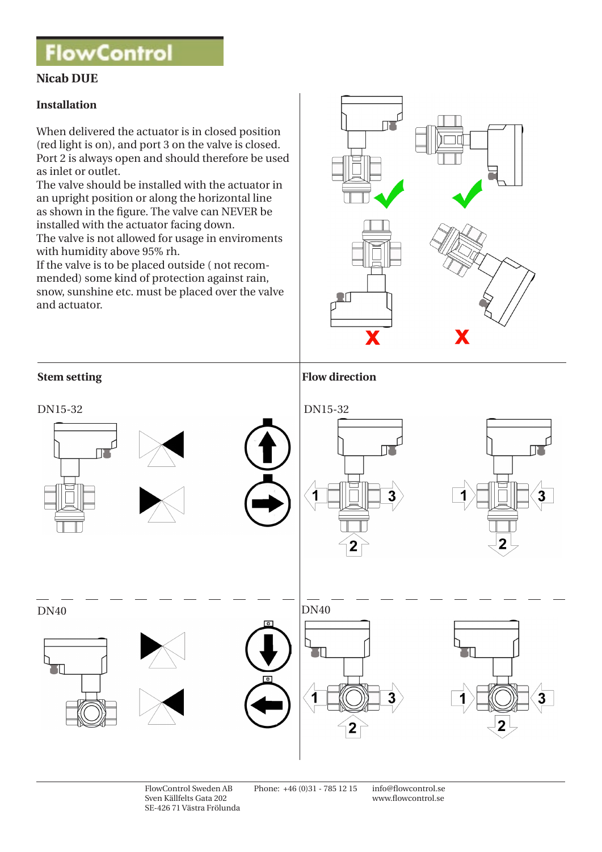# **FlowControl**

## **Nicab DUE**

### **Installation**

When delivered the actuator is in closed position (red light is on), and port 3 on the valve is closed. Port 2 is always open and should therefore be used as inlet or outlet.

The valve should be installed with the actuator in an upright position or along the horizontal line as shown in the figure. The valve can NEVER be installed with the actuator facing down. The valve is not allowed for usage in enviroments

with humidity above 95% rh.

If the valve is to be placed outside ( not recommended) some kind of protection against rain, snow, sunshine etc. must be placed over the valve and actuator.





FlowControl Sweden AB Phone: +46 (0)31 - 785 12 15 info@flowcontrol.se